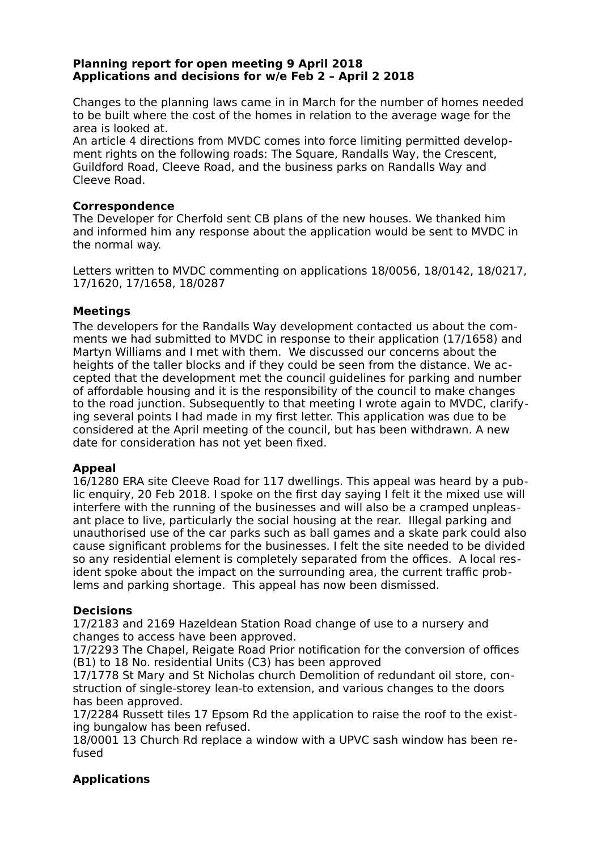#### **Planning report for open meeting 9 April 2018 Applications and decisions for w/e Feb 2 – April 2 2018**

Changes to the planning laws came in in March for the number of homes needed to be built where the cost of the homes in relation to the average wage for the area is looked at.

An article 4 directions from MVDC comes into force limiting permitted development rights on the following roads: The Square, Randalls Way, the Crescent, Guildford Road, Cleeve Road, and the business parks on Randalls Way and Cleeve Road.

#### **Correspondence**

The Developer for Cherfold sent CB plans of the new houses. We thanked him and informed him any response about the application would be sent to MVDC in the normal way.

Letters written to MVDC commenting on applications 18/0056, 18/0142, 18/0217, 17/1620, 17/1658, 18/0287

## **Meetings**

The developers for the Randalls Way development contacted us about the comments we had submitted to MVDC in response to their application (17/1658) and Martyn Williams and I met with them. We discussed our concerns about the heights of the taller blocks and if they could be seen from the distance. We accepted that the development met the council guidelines for parking and number of affordable housing and it is the responsibility of the council to make changes to the road junction. Subsequently to that meeting I wrote again to MVDC, clarifying several points I had made in my first letter. This application was due to be considered at the April meeting of the council, but has been withdrawn. A new date for consideration has not yet been fixed.

## **Appeal**

16/1280 ERA site Cleeve Road for 117 dwellings. This appeal was heard by a public enquiry, 20 Feb 2018. I spoke on the first day saying I felt it the mixed use will interfere with the running of the businesses and will also be a cramped unpleasant place to live, particularly the social housing at the rear. Illegal parking and unauthorised use of the car parks such as ball games and a skate park could also cause significant problems for the businesses. I felt the site needed to be divided so any residential element is completely separated from the offices. A local resident spoke about the impact on the surrounding area, the current traffic problems and parking shortage. This appeal has now been dismissed.

## **Decisions**

17/2183 and 2169 Hazeldean Station Road change of use to a nursery and changes to access have been approved.

17/2293 The Chapel, Reigate Road Prior notification for the conversion of offices (B1) to 18 No. residential Units (C3) has been approved

17/1778 St Mary and St Nicholas church Demolition of redundant oil store, construction of single-storey lean-to extension, and various changes to the doors has been approved.

17/2284 Russett tiles 17 Epsom Rd the application to raise the roof to the existing bungalow has been refused.

18/0001 13 Church Rd replace a window with a UPVC sash window has been refused

# **Applications**